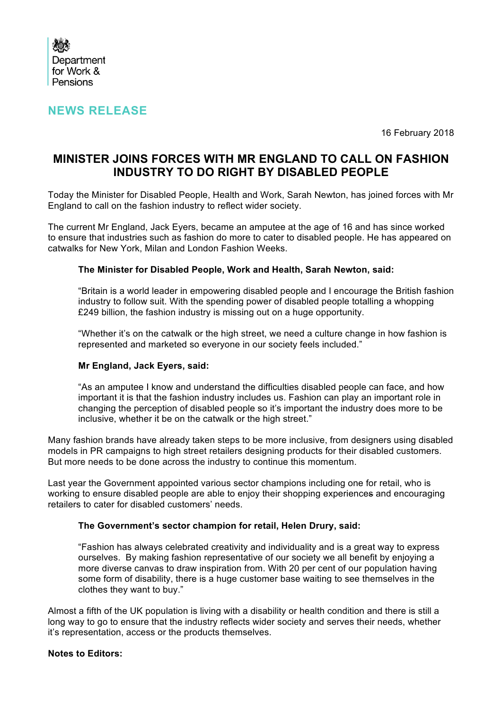

# **NEWS RELEASE**

16 February 2018

# **MINISTER JOINS FORCES WITH MR ENGLAND TO CALL ON FASHION INDUSTRY TO DO RIGHT BY DISABLED PEOPLE**

Today the Minister for Disabled People, Health and Work, Sarah Newton, has joined forces with Mr England to call on the fashion industry to reflect wider society.

The current Mr England, Jack Eyers, became an amputee at the age of 16 and has since worked to ensure that industries such as fashion do more to cater to disabled people. He has appeared on catwalks for New York, Milan and London Fashion Weeks.

#### **The Minister for Disabled People, Work and Health, Sarah Newton, said:**

"Britain is a world leader in empowering disabled people and I encourage the British fashion industry to follow suit. With the spending power of disabled people totalling a whopping £249 billion, the fashion industry is missing out on a huge opportunity.

"Whether it's on the catwalk or the high street, we need a culture change in how fashion is represented and marketed so everyone in our society feels included."

### **Mr England, Jack Eyers, said:**

"As an amputee I know and understand the difficulties disabled people can face, and how important it is that the fashion industry includes us. Fashion can play an important role in changing the perception of disabled people so it's important the industry does more to be inclusive, whether it be on the catwalk or the high street."

Many fashion brands have already taken steps to be more inclusive, from designers using disabled models in PR campaigns to high street retailers designing products for their disabled customers. But more needs to be done across the industry to continue this momentum.

Last year the Government appointed various sector champions including one for retail, who is working to ensure disabled people are able to enjoy their shopping experiences and encouraging retailers to cater for disabled customers' needs.

### **The Government's sector champion for retail, Helen Drury, said:**

"Fashion has always celebrated creativity and individuality and is a great way to express ourselves. By making fashion representative of our society we all benefit by enjoying a more diverse canvas to draw inspiration from. With 20 per cent of our population having some form of disability, there is a huge customer base waiting to see themselves in the clothes they want to buy."

Almost a fifth of the UK population is living with a disability or health condition and there is still a long way to go to ensure that the industry reflects wider society and serves their needs, whether it's representation, access or the products themselves.

#### **Notes to Editors:**